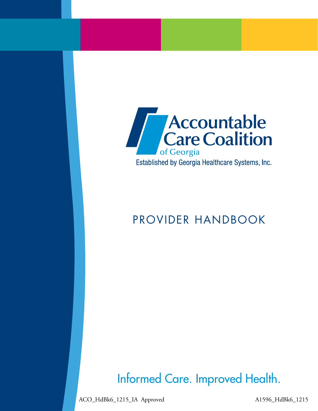

Established by Georgia Healthcare Systems, Inc.

# PROVIDER HANDBOOK

Informed Care. Improved Health.

ACO\_HdBk6\_1215\_IA Approved A1596\_HdBk6\_1215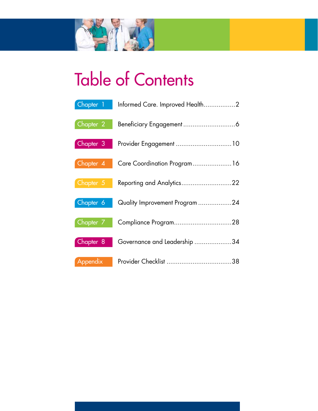

# Table of Contents

| Chapter 1     | Informed Care. Improved Health2 |
|---------------|---------------------------------|
| Chapter 2     |                                 |
| Chapter 3     | Provider Engagement  10         |
| Chapter 4     | Care Coordination Program 16    |
| $Chapter$ $5$ | Reporting and Analytics22       |
| Chapter 6     | Quality Improvement Program 24  |
| Chapter 7     | Compliance Program28            |
| Chapter 8     | Governance and Leadership 34    |
| Appendix      |                                 |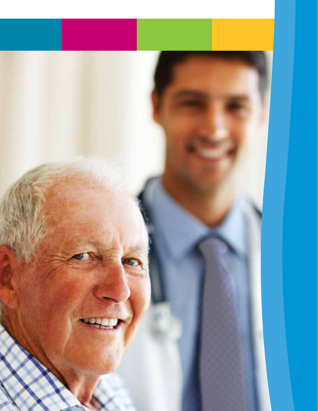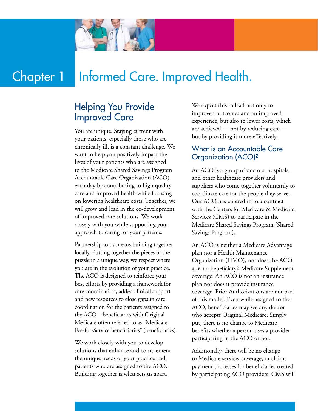

# Chapter 1 Informed Care. Improved Health.

# Helping You Provide Improved Care

You are unique. Staying current with your patients, especially those who are chronically ill, is a constant challenge. We want to help you positively impact the lives of your patients who are assigned to the Medicare Shared Savings Program Accountable Care Organization (ACO) each day by contributing to high quality care and improved health while focusing on lowering healthcare costs. Together, we will grow and lead in the co-development of improved care solutions. We work closely with you while supporting your approach to caring for your patients.

Partnership to us means building together locally. Putting together the pieces of the puzzle in a unique way, we respect where you are in the evolution of your practice. The ACO is designed to reinforce your best efforts by providing a framework for care coordination, added clinical support and new resources to close gaps in care coordination for the patients assigned to the ACO – beneficiaries with Original Medicare often referred to as "Medicare Fee-for-Service beneficiaries" (beneficiaries).

We work closely with you to develop solutions that enhance and complement the unique needs of your practice and patients who are assigned to the ACO. Building together is what sets us apart.

We expect this to lead not only to improved outcomes and an improved experience, but also to lower costs, which are achieved — not by reducing care but by providing it more effectively.

### What is an Accountable Care Organization (ACO)?

An ACO is a group of doctors, hospitals, and other healthcare providers and suppliers who come together voluntarily to coordinate care for the people they serve. Our ACO has entered in to a contract with the Centers for Medicare & Medicaid Services (CMS) to participate in the Medicare Shared Savings Program (Shared Savings Program).

An ACO is neither a Medicare Advantage plan nor a Health Maintenance Organization (HMO), nor does the ACO affect a beneficiary's Medicare Supplement coverage. An ACO is not an insurance plan nor does it provide insurance coverage. Prior Authorizations are not part of this model. Even while assigned to the ACO, beneficiaries may see any doctor who accepts Original Medicare. Simply put, there is no change to Medicare benefits whether a person uses a provider participating in the ACO or not.

Additionally, there will be no change to Medicare service, coverage, or claims payment processes for beneficiaries treated by participating ACO providers. CMS will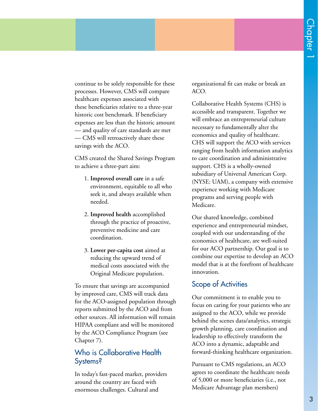continue to be solely responsible for these processes. However, CMS will compare healthcare expenses associated with these beneficiaries relative to a three-year historic cost benchmark. If beneficiary expenses are less than the historic amount — and quality of care standards are met — CMS will retroactively share these savings with the ACO.

CMS created the Shared Savings Program to achieve a three-part aim:

- 1. **Improved overall care** in a safe environment, equitable to all who seek it, and always available when needed.
- 2. **Improved health** accomplished through the practice of proactive, preventive medicine and care coordination.
- 3. **Lower per-capita cost** aimed at reducing the upward trend of medical costs associated with the Original Medicare population.

To ensure that savings are accompanied by improved care, CMS will track data for the ACO-assigned population through reports submitted by the ACO and from other sources. All information will remain HIPAA compliant and will be monitored by the ACO Compliance Program (see Chapter 7).

## Who is Collaborative Health Systems?

In today's fast-paced market, providers around the country are faced with enormous challenges. Cultural and

organizational fit can make or break an ACO.

Collaborative Health Systems (CHS) is accessible and transparent. Together we will embrace an entrepreneurial culture necessary to fundamentally alter the economics and quality of healthcare. CHS will support the ACO with services ranging from health information analytics to care coordination and administrative support. CHS is a wholly-owned subsidiary of Universal American Corp. (NYSE: UAM), a company with extensive experience working with Medicare programs and serving people with Medicare.

Our shared knowledge, combined experience and entrepreneurial mindset, coupled with our understanding of the economics of healthcare, are well-suited for our ACO partnership. Our goal is to combine our expertise to develop an ACO model that is at the forefront of healthcare innovation.

## Scope of Activities

Our commitment is to enable you to focus on caring for your patients who are assigned to the ACO, while we provide behind the scenes data/analytics, strategic growth planning, care coordination and leadership to effectively transform the ACO into a dynamic, adaptable and forward-thinking healthcare organization.

Pursuant to CMS regulations, an ACO agrees to coordinate the healthcare needs of 5,000 or more beneficiaries (i.e., not Medicare Advantage plan members)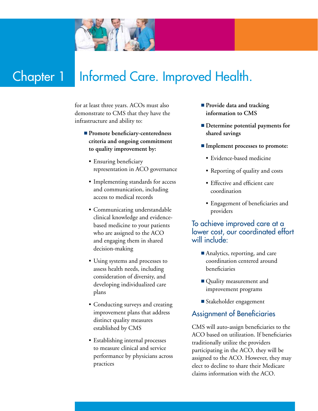

# Chapter 1 Informed Care. Improved Health.

for at least three years. ACOs must also demonstrate to CMS that they have the infrastructure and ability to:

- **n** Promote beneficiary-centeredness **criteria and ongoing commitment to quality improvement by:** 
	- Ensuring beneficiary representation in ACO governance
	- Implementing standards for access and communication, including access to medical records
	- Communicating understandable clinical knowledge and evidencebased medicine to your patients who are assigned to the ACO and engaging them in shared decision-making
	- Using systems and processes to assess health needs, including consideration of diversity, and developing individualized care plans
	- Conducting surveys and creating improvement plans that address distinct quality measures established by CMS
	- Establishing internal processes to measure clinical and service performance by physicians across practices
- **n** Provide data and tracking **information to CMS**
- **n** Determine potential payments for **shared savings**
- **Implement processes to promote:** 
	- Evidence-based medicine
	- Reporting of quality and costs
	- Effective and efficient care coordination
	- Engagement of beneficiaries and providers

## To achieve improved care at a lower cost, our coordinated effort will include:

- Analytics, reporting, and care coordination centered around beneficiaries
- Quality measurement and improvement programs
- Stakeholder engagement

## Assignment of Beneficiaries

CMS will auto-assign beneficiaries to the ACO based on utilization. If beneficiaries traditionally utilize the providers participating in the ACO, they will be assigned to the ACO. However, they may elect to decline to share their Medicare claims information with the ACO.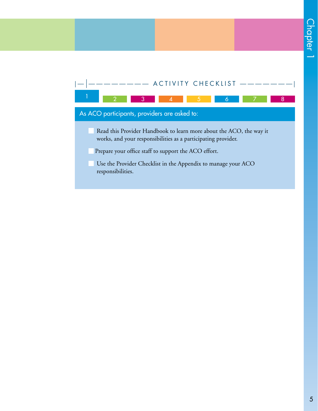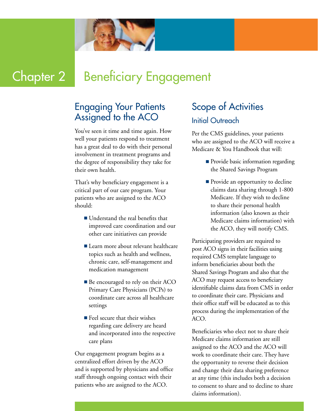

# **Chapter 2 Beneficiary Engagement**

# Engaging Your Patients Assigned to the ACO

You've seen it time and time again. How well your patients respond to treatment has a great deal to do with their personal involvement in treatment programs and the degree of responsibility they take for their own health.

That's why beneficiary engagement is a critical part of our care program. Your patients who are assigned to the ACO should:

- $\blacksquare$  Understand the real benefits that improved care coordination and our other care initiatives can provide
- Learn more about relevant healthcare topics such as health and wellness, chronic care, self-management and medication management
- Be encouraged to rely on their ACO Primary Care Physicians (PCPs) to coordinate care across all healthcare settings
- $\blacksquare$  Feel secure that their wishes regarding care delivery are heard and incorporated into the respective care plans

Our engagement program begins as a centralized effort driven by the ACO and is supported by physicians and office staff through ongoing contact with their patients who are assigned to the ACO.

# Scope of Activities

# Initial Outreach

Per the CMS guidelines, your patients who are assigned to the ACO will receive a Medicare & You Handbook that will:

- **n** Provide basic information regarding the Shared Savings Program
- $\blacksquare$  Provide an opportunity to decline claims data sharing through 1-800 Medicare. If they wish to decline to share their personal health information (also known as their Medicare claims information) with the ACO, they will notify CMS.

Participating providers are required to post ACO signs in their facilities using required CMS template language to inform beneficiaries about both the Shared Savings Program and also that the ACO may request access to beneficiary identifiable claims data from CMS in order to coordinate their care. Physicians and their office staff will be educated as to this process during the implementation of the ACO.

Beneficiaries who elect not to share their Medicare claims information are still assigned to the ACO and the ACO will work to coordinate their care. They have the opportunity to reverse their decision and change their data sharing preference at any time (this includes both a decision to consent to share and to decline to share claims information).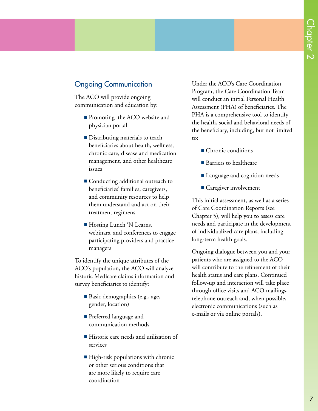## Ongoing Communication

The ACO will provide ongoing communication and education by:

- **n** Promoting the ACO website and physician portal
- Distributing materials to teach beneficiaries about health, wellness, chronic care, disease and medication management, and other healthcare issues
- Conducting additional outreach to beneficiaries' families, caregivers, and community resources to help them understand and act on their treatment regimens
- Hosting Lunch 'N Learns, webinars, and conferences to engage participating providers and practice managers

To identify the unique attributes of the ACO's population, the ACO will analyze historic Medicare claims information and survey beneficiaries to identify:

- Basic demographics (e.g., age, gender, location)
- **n** Preferred language and communication methods
- Historic care needs and utilization of services
- $\blacksquare$  High-risk populations with chronic or other serious conditions that are more likely to require care coordination

Under the ACO's Care Coordination Program, the Care Coordination Team will conduct an initial Personal Health Assessment (PHA) of beneficiaries. The PHA is a comprehensive tool to identify the health, social and behavioral needs of the beneficiary, including, but not limited to:

- Chronic conditions
- Barriers to healthcare
- Language and cognition needs
- Caregiver involvement

This initial assessment, as well as a series of Care Coordination Reports (see Chapter 5), will help you to assess care needs and participate in the development of individualized care plans, including long-term health goals.

Ongoing dialogue between you and your patients who are assigned to the ACO will contribute to the refinement of their health status and care plans. Continued follow-up and interaction will take place through office visits and ACO mailings, telephone outreach and, when possible, electronic communications (such as e-mails or via online portals).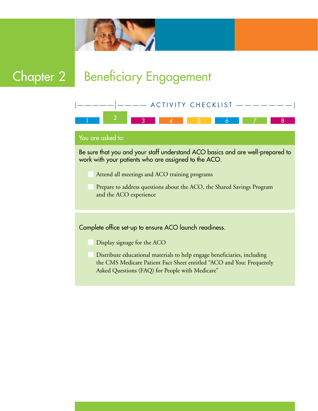

# Chapter 2 Beneficiary Engagement

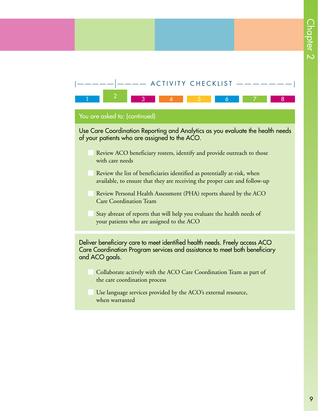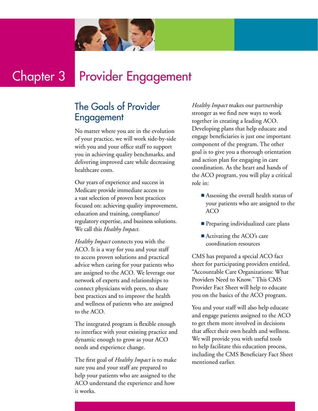

# Chapter 3 Provider Engagement

# The Goals of Provider Engagement

No matter where you are in the evolution of your practice, we will work side-by-side with you and your office staff to support you in achieving quality benchmarks, and delivering improved care while decreasing healthcare costs.

Our years of experience and success in Medicare provide immediate access to a vast selection of proven best practices focused on: achieving quality improvement, education and training, compliance/ regulatory expertise, and business solutions. We call this *Healthy Impact*.

*Healthy Impact* connects you with the ACO. It is a way for you and your staff to access proven solutions and practical advice when caring for your patients who are assigned to the ACO. We leverage our network of experts and relationships to connect physicians with peers, to share best practices and to improve the health and wellness of patients who are assigned to the ACO.

The integrated program is flexible enough to interface with your existing practice and dynamic enough to grow as your ACO needs and experience change.

The first goal of *Healthy Impact* is to make sure you and your staff are prepared to help your patients who are assigned to the ACO understand the experience and how it works.

*Healthy Impact* makes our partnership stronger as we find new ways to work together in creating a leading ACO. Developing plans that help educate and engage beneficiaries is just one important component of the program. The other goal is to give you a thorough orientation and action plan for engaging in care coordination. As the heart and hands of the ACO program, you will play a critical role in:

- Assessing the overall health status of your patients who are assigned to the ACO
- $\blacksquare$  Preparing individualized care plans
- $\blacksquare$  Activating the ACO's care coordination resources

CMS has prepared a special ACO fact sheet for participating providers entitled, "Accountable Care Organizations: What Providers Need to Know." This CMS Provider Fact Sheet will help to educate you on the basics of the ACO program.

You and your staff will also help educate and engage patients assigned to the ACO to get them more involved in decisions that affect their own health and wellness. We will provide you with useful tools to help facilitate this education process, including the CMS Beneficiary Fact Sheet mentioned earlier.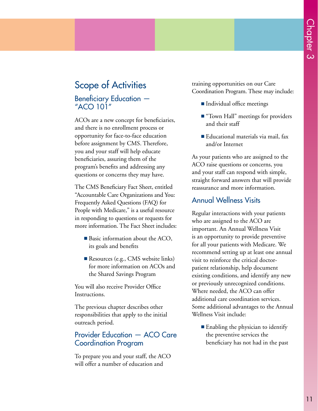# Scope of Activities Beneficiary Education — "ACO 101"

ACOs are a new concept for beneficiaries, and there is no enrollment process or opportunity for face-to-face education before assignment by CMS. Therefore, you and your staff will help educate beneficiaries, assuring them of the program's benefits and addressing any questions or concerns they may have.

The CMS Beneficiary Fact Sheet, entitled "Accountable Care Organizations and You: Frequently Asked Questions (FAQ) for People with Medicare," is a useful resource in responding to questions or requests for more information. The Fact Sheet includes:

- $\blacksquare$  Basic information about the ACO, its goals and benefits
- Resources (e.g., CMS website links) for more information on ACOs and the Shared Savings Program

You will also receive Provider Office Instructions.

The previous chapter describes other responsibilities that apply to the initial outreach period.

## Provider Education — ACO Care Coordination Program

To prepare you and your staff, the ACO will offer a number of education and

training opportunities on our Care Coordination Program. These may include:

- Individual office meetings
- "Town Hall" meetings for providers and their staff
- $\blacksquare$  Educational materials via mail, fax and/or Internet

As your patients who are assigned to the ACO raise questions or concerns, you and your staff can respond with simple, straight forward answers that will provide reassurance and more information.

## Annual Wellness Visits

Regular interactions with your patients who are assigned to the ACO are important. An Annual Wellness Visit is an opportunity to provide preventive for all your patients with Medicare. We recommend setting up at least one annual visit to reinforce the critical doctorpatient relationship, help document existing conditions, and identify any new or previously unrecognized conditions. Where needed, the ACO can offer additional care coordination services. Some additional advantages to the Annual Wellness Visit include:

 $\blacksquare$  Enabling the physician to identify the preventive services the beneficiary has not had in the past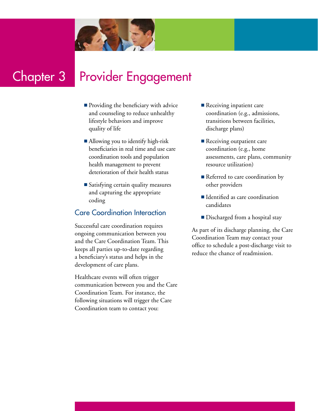

# Chapter 3 Provider Engagement

- $\blacksquare$  Providing the beneficiary with advice and counseling to reduce unhealthy lifestyle behaviors and improve quality of life
- Allowing you to identify high-risk beneficiaries in real time and use care coordination tools and population health management to prevent deterioration of their health status
- Satisfying certain quality measures and capturing the appropriate coding

## Care Coordination Interaction

Successful care coordination requires ongoing communication between you and the Care Coordination Team. This keeps all parties up-to-date regarding a beneficiary's status and helps in the development of care plans.

Healthcare events will often trigger communication between you and the Care Coordination Team. For instance, the following situations will trigger the Care Coordination team to contact you:

- $\blacksquare$  Receiving inpatient care coordination (e.g., admissions, transitions between facilities, discharge plans)
- Receiving outpatient care coordination (e.g., home assessments, care plans, community resource utilization)
- Referred to care coordination by other providers
- $\blacksquare$  Identified as care coordination candidates
- **n** Discharged from a hospital stay

As part of its discharge planning, the Care Coordination Team may contact your office to schedule a post-discharge visit to reduce the chance of readmission.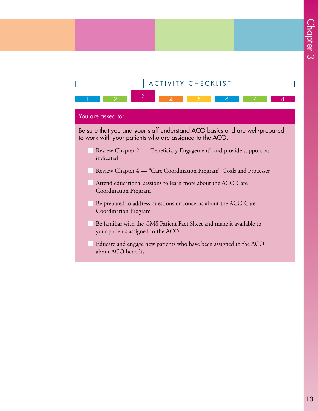

## You are asked to:

Be sure that you and your staff understand ACO basics and are well-prepared to work with your patients who are assigned to the ACO.

- Review Chapter 2 "Beneficiary Engagement" and provide support, as indicated
- Review Chapter 4 "Care Coordination Program" Goals and Processes
- Attend educational sessions to learn more about the ACO Care Coordination Program
- Be prepared to address questions or concerns about the ACO Care Coordination Program
- Be familiar with the CMS Patient Fact Sheet and make it available to your patients assigned to the ACO
- Educate and engage new patients who have been assigned to the ACO about ACO benefits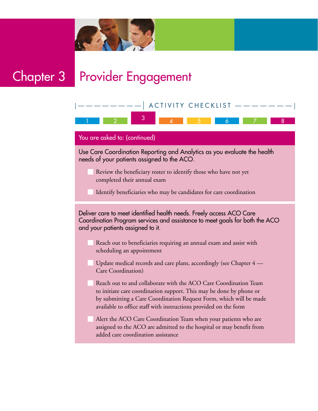

Chapter 3 Provider Engagement

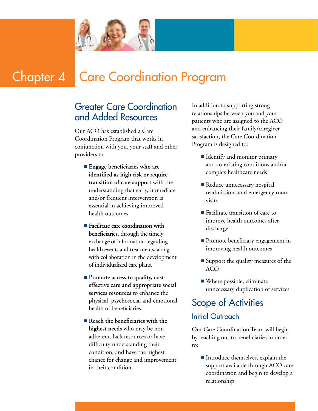

# **Chapter 4 Care Coordination Program**

# Greater Care Coordination and Added Resources

Our ACO has established a Care Coordination Program that works in conjunction with you, your staff and other providers to:

- Engage beneficiaries who are **identified as high risk or require transition of care support** with the understanding that early, immediate and/or frequent intervention is essential in achieving improved health outcomes.
- Facilitate care coordination with **beneficiaries**, through the timely exchange of information regarding health events and treatments, along with collaboration in the development of individualized care plans.
- **n** Promote access to quality, cost**effective care and appropriate social services resources** to enhance the physical, psychosocial and emotional health of beneficiaries.
- **Reach the beneficiaries with the highest needs** who may be nonadherent, lack resources or have difficulty understanding their condition, and have the highest chance for change and improvement in their condition.

In addition to supporting strong relationships between you and your patients who are assigned to the ACO and enhancing their family/caregiver satisfaction, the Care Coordination Program is designed to:

- Identify and monitor primary and co-existing conditions and/or complex healthcare needs
- Reduce unnecessary hospital readmissions and emergency room visits
- $\blacksquare$  Facilitate transition of care to improve health outcomes after discharge
- **Promote beneficiary engagement in** improving health outcomes
- $\blacksquare$  Support the quality measures of the ACO
- $\blacksquare$  Where possible, eliminate unnecessary duplication of services

# Scope of Activities Initial Outreach

Our Care Coordination Team will begin by reaching out to beneficiaries in order to:

> $\blacksquare$  Introduce themselves, explain the support available through ACO care coordination and begin to develop a relationship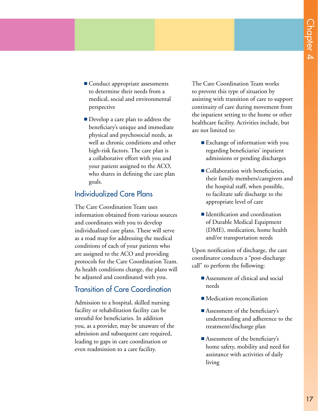- Conduct appropriate assessments to determine their needs from a medical, social and environmental perspective
- Develop a care plan to address the beneficiary's unique and immediate physical and psychosocial needs, as well as chronic conditions and other high-risk factors. The care plan is a collaborative effort with you and your patient assigned to the ACO, who shares in defining the care plan goals.

### Individualized Care Plans

The Care Coordination Team uses information obtained from various sources and coordinates with you to develop individualized care plans. These will serve as a road map for addressing the medical conditions of each of your patients who are assigned to the ACO and providing protocols for the Care Coordination Team. As health conditions change, the plans will be adjusted and coordinated with you.

## Transition of Care Coordination

Admission to a hospital, skilled nursing facility or rehabilitation facility can be stressful for beneficiaries. In addition you, as a provider, may be unaware of the admission and subsequent care required, leading to gaps in care coordination or even readmission to a care facility.

The Care Coordination Team works to prevent this type of situation by assisting with transition of care to support continuity of care during movement from the inpatient setting to the home or other healthcare facility. Activities include, but are not limited to:

- Exchange of information with you regarding beneficiaries' inpatient admissions or pending discharges
- **Collaboration with beneficiaries,** their family members/caregivers and the hospital staff, when possible, to facilitate safe discharge to the appropriate level of care
- Identification and coordination of Durable Medical Equipment (DME), medication, home health and/or transportation needs

Upon notification of discharge, the care coordinator conducts a "post-discharge call" to perform the following:

- $\blacksquare$  Assessment of clinical and social needs
- $\blacksquare$  Medication reconciliation
- Assessment of the beneficiary's understanding and adherence to the treatment/discharge plan
- **n** Assessment of the beneficiary's home safety, mobility and need for assistance with activities of daily living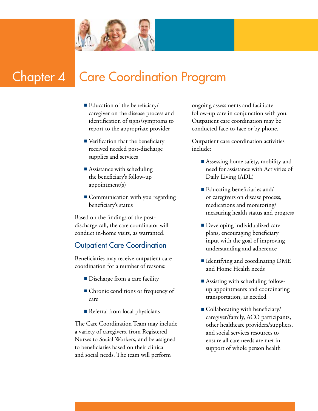

# **Chapter 4 Care Coordination Program**

- Education of the beneficiary/ caregiver on the disease process and identification of signs/symptoms to report to the appropriate provider
- $\blacksquare$  Verification that the beneficiary received needed post-discharge supplies and services
- $\blacksquare$  Assistance with scheduling the beneficiary's follow-up appointment(s)
- $\blacksquare$  Communication with you regarding beneficiary's status

Based on the findings of the postdischarge call, the care coordinator will conduct in-home visits, as warranted.

## Outpatient Care Coordination

Beneficiaries may receive outpatient care coordination for a number of reasons:

- Discharge from a care facility
- Chronic conditions or frequency of care
- Referral from local physicians

The Care Coordination Team may include a variety of caregivers, from Registered Nurses to Social Workers, and be assigned to beneficiaries based on their clinical and social needs. The team will perform

ongoing assessments and facilitate follow-up care in conjunction with you. Outpatient care coordination may be conducted face-to-face or by phone.

Outpatient care coordination activities include:

- Assessing home safety, mobility and need for assistance with Activities of Daily Living (ADL)
- $\blacksquare$  Educating beneficiaries and/ or caregivers on disease process, medications and monitoring/ measuring health status and progress
- Developing individualized care plans, encouraging beneficiary input with the goal of improving understanding and adherence
- $\blacksquare$  Identifying and coordinating DME and Home Health needs
- **Example 1** Assisting with scheduling followup appointments and coordinating transportation, as needed
- $\blacksquare$  Collaborating with beneficiary/ caregiver/family, ACO participants, other healthcare providers/suppliers, and social services resources to ensure all care needs are met in support of whole person health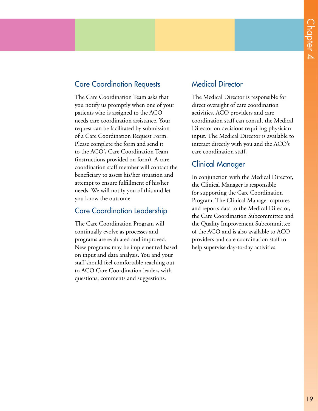# Care Coordination Requests

The Care Coordination Team asks that you notify us promptly when one of your patients who is assigned to the ACO needs care coordination assistance. Your request can be facilitated by submission of a Care Coordination Request Form. Please complete the form and send it to the ACO's Care Coordination Team (instructions provided on form). A care coordination staff member will contact the beneficiary to assess his/her situation and attempt to ensure fulfillment of his/her needs. We will notify you of this and let you know the outcome.

### Care Coordination Leadership

The Care Coordination Program will continually evolve as processes and programs are evaluated and improved. New programs may be implemented based on input and data analysis. You and your staff should feel comfortable reaching out to ACO Care Coordination leaders with questions, comments and suggestions.

## Medical Director

The Medical Director is responsible for direct oversight of care coordination activities. ACO providers and care coordination staff can consult the Medical Director on decisions requiring physician input. The Medical Director is available to interact directly with you and the ACO's care coordination staff.

## Clinical Manager

In conjunction with the Medical Director, the Clinical Manager is responsible for supporting the Care Coordination Program. The Clinical Manager captures and reports data to the Medical Director, the Care Coordination Subcommittee and the Quality Improvement Subcommittee of the ACO and is also available to ACO providers and care coordination staff to help supervise day-to-day activities.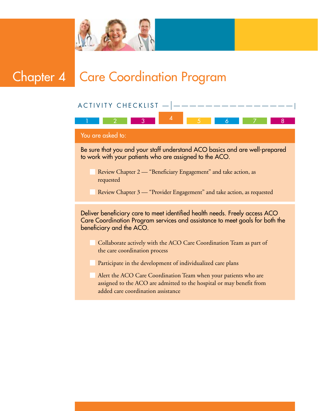

# **Chapter 4 | Care Coordination Program**

# You are asked to: Be sure that you and your staff understand ACO basics and are well-prepared to work with your patients who are assigned to the ACO. Review Chapter 2 — "Beneficiary Engagement" and take action, as requested n Review Chapter 3 — "Provider Engagement" and take action, as requested Deliver beneficiary care to meet identified health needs. Freely access ACO Care Coordination Program services and assistance to meet goals for both the beneficiary and the ACO. Collaborate actively with the ACO Care Coordination Team as part of the care coordination process Participate in the development of individualized care plans Alert the ACO Care Coordination Team when your patients who are assigned to the ACO are admitted to the hospital or may benefit from added care coordination assistance ACTIVITY CHECKLIST 1 2 3 4 5 6 7 8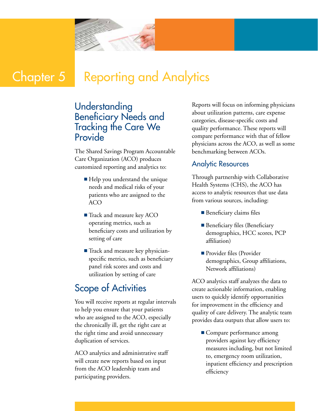

# Chapter 5 Reporting and Analytics

# Understanding Beneficiary Needs and Tracking the Care We Provide

The Shared Savings Program Accountable Care Organization (ACO) produces customized reporting and analytics to:

- Help you understand the unique needs and medical risks of your patients who are assigned to the ACO
- Track and measure key ACO operating metrics, such as beneficiary costs and utilization by setting of care
- Track and measure key physicianspecific metrics, such as beneficiary panel risk scores and costs and utilization by setting of care

# Scope of Activities

You will receive reports at regular intervals to help you ensure that your patients who are assigned to the ACO, especially the chronically ill, get the right care at the right time and avoid unnecessary duplication of services.

ACO analytics and administrative staff will create new reports based on input from the ACO leadership team and participating providers.

Reports will focus on informing physicians about utilization patterns, care expense categories, disease-specific costs and quality performance. These reports will compare performance with that of fellow physicians across the ACO, as well as some benchmarking between ACOs.

## Analytic Resources

Through partnership with Collaborative Health Systems (CHS), the ACO has access to analytic resources that use data from various sources, including:

- $\blacksquare$  Beneficiary claims files
- **Beneficiary files (Beneficiary** demographics, HCC scores, PCP affiliation)
- **Provider files (Provider** demographics, Group affiliations, Network affiliations)

ACO analytics staff analyzes the data to create actionable information, enabling users to quickly identify opportunities for improvement in the efficiency and quality of care delivery. The analytic team provides data outputs that allow users to:

**Compare performance among** providers against key efficiency measures including, but not limited to, emergency room utilization, inpatient efficiency and prescription efficiency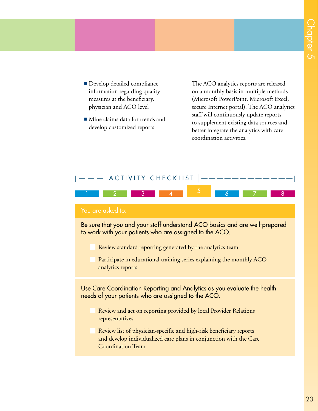- Develop detailed compliance information regarding quality measures at the beneficiary, physician and ACO level
- Mine claims data for trends and develop customized reports

The ACO analytics reports are released on a monthly basis in multiple methods (Microsoft PowerPoint, Microsoft Excel, secure Internet portal). The ACO analytics staff will continuously update reports to supplement existing data sources and better integrate the analytics with care coordination activities.

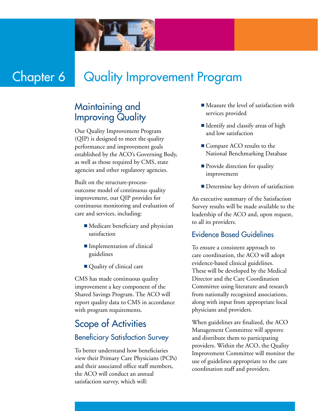

# Chapter 6 Quality Improvement Program

# Maintaining and Improving Quality

Our Quality Improvement Program (QIP) is designed to meet the quality performance and improvement goals established by the ACO's Governing Body, as well as those required by CMS, state agencies and other regulatory agencies.

Built on the structure-processoutcome model of continuous quality improvement, our QIP provides for continuous monitoring and evaluation of care and services, including:

- $\blacksquare$  Medicare beneficiary and physician satisfaction
- Implementation of clinical guidelines
- Quality of clinical care

CMS has made continuous quality improvement a key component of the Shared Savings Program. The ACO will report quality data to CMS in accordance with program requirements.

# Scope of Activities

# Beneficiary Satisfaction Survey

To better understand how beneficiaries view their Primary Care Physicians (PCPs) and their associated office staff members, the ACO will conduct an annual satisfaction survey, which will:

- $\blacksquare$  Measure the level of satisfaction with services provided
- $\blacksquare$  Identify and classify areas of high and low satisfaction
- $\blacksquare$  Compare ACO results to the National Benchmarking Database
- **Provide direction for quality** improvement
- Determine key drivers of satisfaction

An executive summary of the Satisfaction Survey results will be made available to the leadership of the ACO and, upon request, to all its providers.

## Evidence Based Guidelines

To ensure a consistent approach to care coordination, the ACO will adopt evidence-based clinical guidelines. These will be developed by the Medical Director and the Care Coordination Committee using literature and research from nationally recognized associations, along with input from appropriate local physicians and providers.

When guidelines are finalized, the ACO Management Committee will approve and distribute them to participating providers. Within the ACO, the Quality Improvement Committee will monitor the use of guidelines appropriate to the care coordination staff and providers.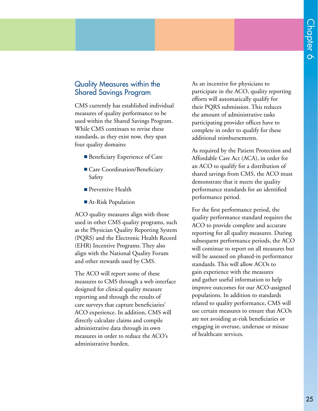## Quality Measures within the Shared Savings Program

CMS currently has established individual measures of quality performance to be used within the Shared Savings Program. While CMS continues to revise these standards, as they exist now, they span four quality domains:

- **Experience of Care**
- Care Coordination/Beneficiary Safety
- **n** Preventive Health
- At-Risk Population

ACO quality measures align with those used in other CMS quality programs, such as the Physician Quality Reporting System (PQRS) and the Electronic Health Record (EHR) Incentive Programs. They also align with the National Quality Forum and other stewards used by CMS.

The ACO will report some of these measures to CMS through a web interface designed for clinical quality measure reporting and through the results of care surveys that capture beneficiaries' ACO experience. In addition, CMS will directly calculate claims and compile administrative data through its own measures in order to reduce the ACO's administrative burden.

As an incentive for physicians to participate in the ACO, quality reporting efforts will automatically qualify for their PQRS submission. This reduces the amount of administrative tasks participating provider offices have to complete in order to qualify for these additional reimbursements.

As required by the Patient Protection and Affordable Care Act (ACA), in order for an ACO to qualify for a distribution of shared savings from CMS, the ACO must demonstrate that it meets the quality performance standards for an identified performance period.

For the first performance period, the quality performance standard requires the ACO to provide complete and accurate reporting for all quality measures. During subsequent performance periods, the ACO will continue to report on all measures but will be assessed on phased-in performance standards. This will allow ACOs to gain experience with the measures and gather useful information to help improve outcomes for our ACO-assigned populations. In addition to standards related to quality performance, CMS will use certain measures to ensure that ACOs are not avoiding at-risk beneficiaries or engaging in overuse, underuse or misuse of healthcare services.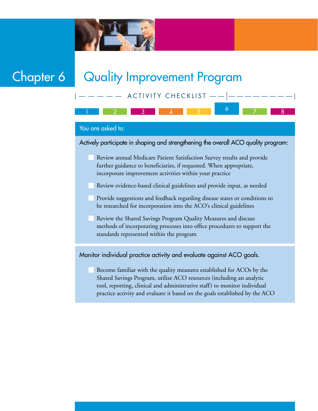

# Chapter 6 Quality Improvement Program

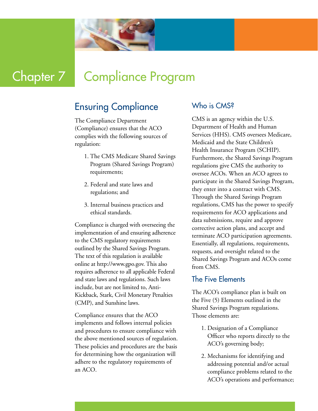

# Chapter 7 | Compliance Program

# Ensuring Compliance

The Compliance Department (Compliance) ensures that the ACO complies with the following sources of regulation:

- 1. The CMS Medicare Shared Savings Program (Shared Savings Program) requirements;
- 2. Federal and state laws and regulations; and
- 3. Internal business practices and ethical standards.

Compliance is charged with overseeing the implementation of and ensuring adherence to the CMS regulatory requirements outlined by the Shared Savings Program. The text of this regulation is available online at http://www.gpo.gov. This also requires adherence to all applicable Federal and state laws and regulations. Such laws include, but are not limited to, Anti-Kickback, Stark, Civil Monetary Penalties (CMP), and Sunshine laws.

Compliance ensures that the ACO implements and follows internal policies and procedures to ensure compliance with the above mentioned sources of regulation. These policies and procedures are the basis for determining how the organization will adhere to the regulatory requirements of an ACO.

# Who is CMS?

CMS is an agency within the U.S. Department of Health and Human Services (HHS). CMS oversees Medicare, Medicaid and the State Children's Health Insurance Program (SCHIP). Furthermore, the Shared Savings Program regulations give CMS the authority to oversee ACOs. When an ACO agrees to participate in the Shared Savings Program, they enter into a contract with CMS. Through the Shared Savings Program regulations, CMS has the power to specify requirements for ACO applications and data submissions, require and approve corrective action plans, and accept and terminate ACO participation agreements. Essentially, all regulations, requirements, requests, and oversight related to the Shared Savings Program and ACOs come from CMS.

## The Five Elements

The ACO's compliance plan is built on the Five (5) Elements outlined in the Shared Savings Program regulations. Those elements are:

- 1. Designation of a Compliance Officer who reports directly to the ACO's governing body;
- 2. Mechanisms for identifying and addressing potential and/or actual compliance problems related to the ACO's operations and performance;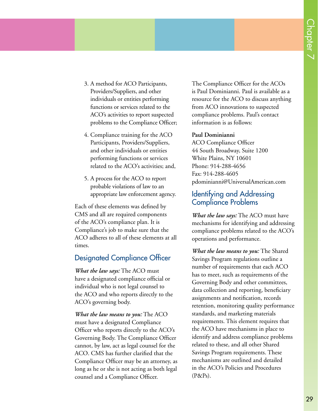- 3. A method for ACO Participants, Providers/Suppliers, and other individuals or entities performing functions or services related to the ACO's activities to report suspected problems to the Compliance Officer;
- 4. Compliance training for the ACO Participants, Providers/Suppliers, and other individuals or entities performing functions or services related to the ACO's activities; and,
- 5. A process for the ACO to report probable violations of law to an appropriate law enforcement agency.

Each of these elements was defined by CMS and all are required components of the ACO's compliance plan. It is Compliance's job to make sure that the ACO adheres to all of these elements at all times.

### Designated Compliance Officer

*What the law says:* The ACO must have a designated compliance official or individual who is not legal counsel to the ACO and who reports directly to the ACO's governing body.

*What the law means to you:* The ACO must have a designated Compliance Officer who reports directly to the ACO's Governing Body. The Compliance Officer cannot, by law, act as legal counsel for the ACO. CMS has further clarified that the Compliance Officer may be an attorney, as long as he or she is not acting as both legal counsel and a Compliance Officer.

The Compliance Officer for the ACOs is Paul Dominianni. Paul is available as a resource for the ACO to discuss anything from ACO innovations to suspected compliance problems. Paul's contact information is as follows:

### **Paul Dominianni**

ACO Compliance Officer 44 South Broadway, Suite 1200 White Plains, NY 10601 Phone: 914-288-4656 Fax: 914-288-4605 pdominianni@UniversalAmerican.com

## Identifying and Addressing Compliance Problems

*What the law says:* The ACO must have mechanisms for identifying and addressing compliance problems related to the ACO's operations and performance.

*What the law means to you:* The Shared Savings Program regulations outline a number of requirements that each ACO has to meet, such as requirements of the Governing Body and other committees, data collection and reporting, beneficiary assignments and notification, records retention, monitoring quality performance standards, and marketing materials requirements. This element requires that the ACO have mechanisms in place to identify and address compliance problems related to these, and all other Shared Savings Program requirements. These mechanisms are outlined and detailed in the ACO's Policies and Procedures  $(P\&Ps)$ .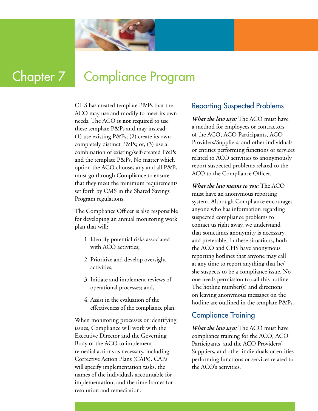

# Chapter 7 Compliance Program

CHS has created template P&Ps that the ACO may use and modify to meet its own needs. The ACO **is not required** to use these template P&Ps and may instead: (1) use existing P&Ps; (2) create its own completely distinct P&Ps; or, (3) use a combination of existing/self-created P&Ps and the template P&Ps. No matter which option the ACO chooses any and all P&Ps must go through Compliance to ensure that they meet the minimum requirements set forth by CMS in the Shared Savings Program regulations.

The Compliance Officer is also responsible for developing an annual monitoring work plan that will:

- 1. Identify potential risks associated with ACO activities;
- 2. Prioritize and develop oversight activities;
- 3. Initiate and implement reviews of operational processes; and,
- 4. Assist in the evaluation of the effectiveness of the compliance plan.

When monitoring processes or identifying issues, Compliance will work with the Executive Director and the Governing Body of the ACO to implement remedial actions as necessary, including Corrective Action Plans (CAPs). CAPs will specify implementation tasks, the names of the individuals accountable for implementation, and the time frames for resolution and remediation.

## Reporting Suspected Problems

*What the law says:* The ACO must have a method for employees or contractors of the ACO, ACO Participants, ACO Providers/Suppliers, and other individuals or entities performing functions or services related to ACO activities to anonymously report suspected problems related to the ACO to the Compliance Officer.

*What the law means to you:* The ACO must have an anonymous reporting system. Although Compliance encourages anyone who has information regarding suspected compliance problems to contact us right away, we understand that sometimes anonymity is necessary and preferable. In these situations, both the ACO and CHS have anonymous reporting hotlines that anyone may call at any time to report anything that he/ she suspects to be a compliance issue. No one needs permission to call this hotline. The hotline number(s) and directions on leaving anonymous messages on the hotline are outlined in the template P&Ps.

## Compliance Training

*What the law says:* The ACO must have compliance training for the ACO, ACO Participants, and the ACO Providers/ Suppliers, and other individuals or entities performing functions or services related to the ACO's activities.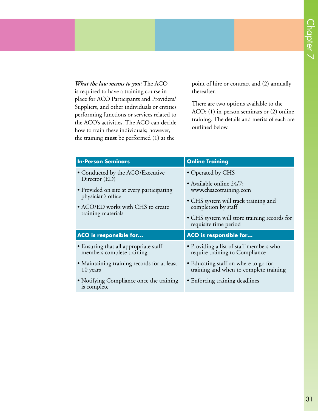*What the law means to you:* The ACO is required to have a training course in place for ACO Participants and Providers/ Suppliers, and other individuals or entities performing functions or services related to the ACO's activities. The ACO can decide how to train these individuals; however, the training **must** be performed (1) at the

point of hire or contract and (2) annually thereafter.

There are two options available to the ACO: (1) in-person seminars or (2) online training. The details and merits of each are outlined below.

| <b>In-Person Seminars</b>                                                                                                                                                       | <b>Online Training</b>                                                                                                                                                                                          |
|---------------------------------------------------------------------------------------------------------------------------------------------------------------------------------|-----------------------------------------------------------------------------------------------------------------------------------------------------------------------------------------------------------------|
| • Conducted by the ACO/Executive<br>Director (ED)<br>• Provided on site at every participating<br>physician's office<br>• ACO/ED works with CHS to create<br>training materials | • Operated by CHS<br>• Available online 24/7:<br>www.chsacotraining.com<br>• CHS system will track training and<br>completion by staff<br>• CHS system will store training records for<br>requisite time period |
| ACO is responsible for                                                                                                                                                          | ACO is responsible for                                                                                                                                                                                          |
| · Ensuring that all appropriate staff<br>members complete training                                                                                                              | · Providing a list of staff members who<br>require training to Compliance                                                                                                                                       |
| · Maintaining training records for at least<br>10 years                                                                                                                         | • Educating staff on where to go for<br>training and when to complete training                                                                                                                                  |
| • Notifying Compliance once the training<br>is complete                                                                                                                         | • Enforcing training deadlines                                                                                                                                                                                  |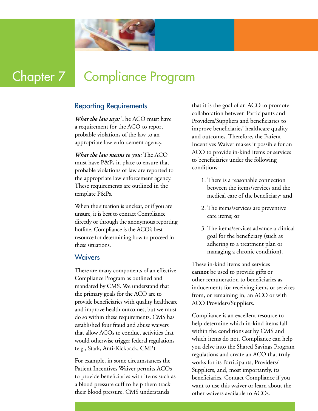

# Chapter 7 Compliance Program

### Reporting Requirements

*What the law says:* The ACO must have a requirement for the ACO to report probable violations of the law to an appropriate law enforcement agency.

*What the law means to you:* The ACO must have P&Ps in place to ensure that probable violations of law are reported to the appropriate law enforcement agency. These requirements are outlined in the template P&Ps.

When the situation is unclear, or if you are unsure, it is best to contact Compliance directly or through the anonymous reporting hotline. Compliance is the ACO's best resource for determining how to proceed in these situations.

### **Waivers**

There are many components of an effective Compliance Program as outlined and mandated by CMS. We understand that the primary goals for the ACO are to provide beneficiaries with quality healthcare and improve health outcomes, but we must do so within these requirements. CMS has established four fraud and abuse waivers that allow ACOs to conduct activities that would otherwise trigger federal regulations (e.g., Stark, Anti-Kickback, CMP).

For example, in some circumstances the Patient Incentives Waiver permits ACOs to provide beneficiaries with items such as a blood pressure cuff to help them track their blood pressure. CMS understands

that it is the goal of an ACO to promote collaboration between Participants and Providers/Suppliers and beneficiaries to improve beneficiaries' healthcare quality and outcomes. Therefore, the Patient Incentives Waiver makes it possible for an ACO to provide in-kind items or services to beneficiaries under the following conditions:

- 1. There is a reasonable connection between the items/services and the medical care of the beneficiary; **and**
- 2. The items/services are preventive care items; **or**
- 3. The items/services advance a clinical goal for the beneficiary (such as adhering to a treatment plan or managing a chronic condition).

These in-kind items and services **cannot** be used to provide gifts or other remuneration to beneficiaries as inducements for receiving items or services from, or remaining in, an ACO or with ACO Providers/Suppliers.

Compliance is an excellent resource to help determine which in-kind items fall within the conditions set by CMS and which items do not. Compliance can help you delve into the Shared Savings Program regulations and create an ACO that truly works for its Participants, Providers/ Suppliers, and, most importantly, its beneficiaries. Contact Compliance if you want to use this waiver or learn about the other waivers available to ACOs.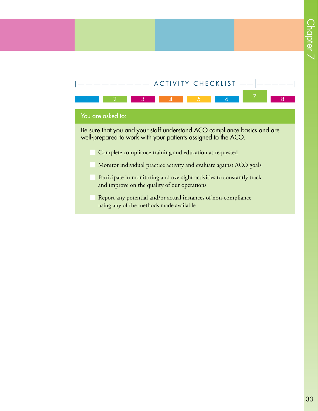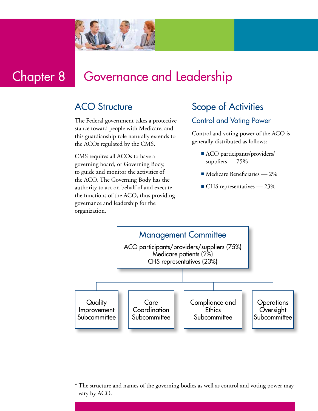

# Chapter 8 Governance and Leadership

# **ACO Structure**

The Federal government takes a protective stance toward people with Medicare, and this guardianship role naturally extends to the ACOs regulated by the CMS.

CMS requires all ACOs to have a governing board, or Governing Body, to guide and monitor the activities of the ACO. The Governing Body has the authority to act on behalf of and execute the functions of the ACO, thus providing governance and leadership for the organization.

# Scope of Activities

## Control and Voting Power

Control and voting power of the ACO is generally distributed as follows:

- ACO participants/providers/ suppliers — 75%
- $\blacksquare$  Medicare Beneficiaries 2%
- $\blacksquare$  CHS representatives 23%



\* The structure and names of the governing bodies as well as control and voting power may vary by ACO.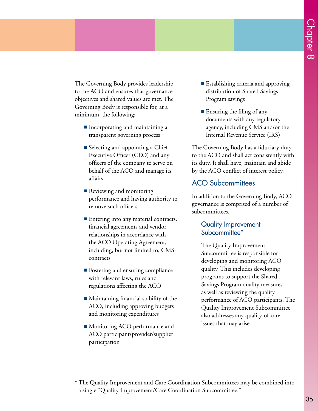The Governing Body provides leadership to the ACO and ensures that governance objectives and shared values are met. The Governing Body is responsible for, at a minimum, the following:

- Incorporating and maintaining a transparent governing process
- $\blacksquare$  Selecting and appointing a Chief Executive Officer (CEO) and any officers of the company to serve on behalf of the ACO and manage its affairs
- **Reviewing and monitoring** performance and having authority to remove such officers
- Entering into any material contracts, financial agreements and vendor relationships in accordance with the ACO Operating Agreement, including, but not limited to, CMS contracts
- $\blacksquare$  Fostering and ensuring compliance with relevant laws, rules and regulations affecting the ACO
- $\blacksquare$  Maintaining financial stability of the ACO, including approving budgets and monitoring expenditures
- Monitoring ACO performance and ACO participant/provider/supplier participation
- Establishing criteria and approving distribution of Shared Savings Program savings
- $\blacksquare$  Ensuring the filing of any documents with any regulatory agency, including CMS and/or the Internal Revenue Service (IRS)

The Governing Body has a fiduciary duty to the ACO and shall act consistently with its duty. It shall have, maintain and abide by the ACO conflict of interest policy.

## ACO Subcommittees

In addition to the Governing Body, ACO governance is comprised of a number of subcommittees.

### Quality Improvement Subcommittee\*

The Quality Improvement Subcommittee is responsible for developing and monitoring ACO quality. This includes developing programs to support the Shared Savings Program quality measures as well as reviewing the quality performance of ACO participants. The Quality Improvement Subcommittee also addresses any quality-of-care issues that may arise.

<sup>\*</sup> The Quality Improvement and Care Coordination Subcommittees may be combined into a single "Quality Improvement/Care Coordination Subcommittee."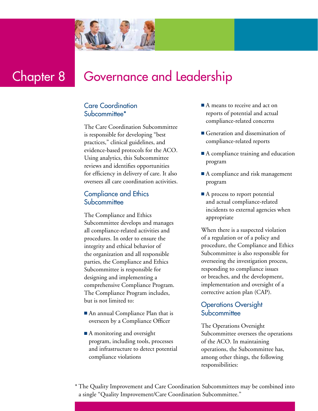

# Chapter 8 Governance and Leadership

### Care Coordination Subcommittee\*

The Care Coordination Subcommittee is responsible for developing "best practices," clinical guidelines, and evidence-based protocols for the ACO. Using analytics, this Subcommittee reviews and identifies opportunities for efficiency in delivery of care. It also oversees all care coordination activities.

### Compliance and Ethics **Subcommittee**

The Compliance and Ethics Subcommittee develops and manages all compliance-related activities and procedures. In order to ensure the integrity and ethical behavior of the organization and all responsible parties, the Compliance and Ethics Subcommittee is responsible for designing and implementing a comprehensive Compliance Program. The Compliance Program includes, but is not limited to:

- $\blacksquare$  An annual Compliance Plan that is overseen by a Compliance Officer
- $\blacksquare$  A monitoring and oversight program, including tools, processes and infrastructure to detect potential compliance violations
- $\blacksquare$  A means to receive and act on reports of potential and actual compliance-related concerns
- $\blacksquare$  Generation and dissemination of compliance-related reports
- $\blacksquare$  A compliance training and education program
- $\blacksquare$  A compliance and risk management program
- $\blacksquare$  A process to report potential and actual compliance-related incidents to external agencies when appropriate

When there is a suspected violation of a regulation or of a policy and procedure, the Compliance and Ethics Subcommittee is also responsible for overseeing the investigation process, responding to compliance issues or breaches, and the development, implementation and oversight of a corrective action plan (CAP).

### Operations Oversight Subcommittee

The Operations Oversight Subcommittee oversees the operations of the ACO. In maintaining operations, the Subcommittee has, among other things, the following responsibilities:

\* The Quality Improvement and Care Coordination Subcommittees may be combined into a single "Quality Improvement/Care Coordination Subcommittee."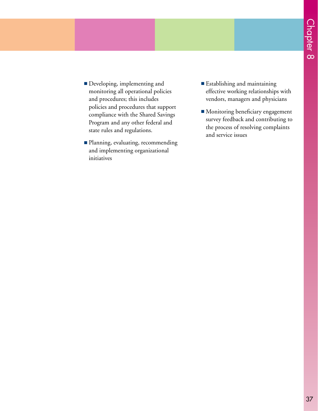- **n** Developing, implementing and monitoring all operational policies and procedures; this includes policies and procedures that support compliance with the Shared Savings Program and any other federal and state rules and regulations.
- <sup>n</sup> Planning, evaluating, recommending and implementing organizational initiatives
- **Establishing and maintaining** effective working relationships with vendors, managers and physicians
- $\blacksquare$  Monitoring beneficiary engagement survey feedback and contributing to the process of resolving complaints and service issues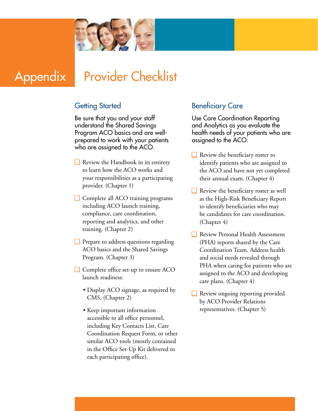

# Appendix Provider Checklist

# **Getting Started**

Be sure that you and your staff understand the Shared Savings Program ACO basics and are wellprepared to work with your patients who are assigned to the ACO.

- $\Box$  Review the Handbook in its entirety to learn how the ACO works and your responsibilities as a participating provider. (Chapter 1)
- $\Box$  Complete all ACO training programs including ACO launch training, compliance, care coordination, reporting and analytics, and other training. (Chapter 2)
- $\Box$  Prepare to address questions regarding ACO basics and the Shared Savings Program. (Chapter 3)
- $\Box$  Complete office set-up to ensure ACO launch readiness:
	- Display ACO signage, as required by CMS. (Chapter 2)
	- Keep important information accessible to all office personnel, including Key Contacts List, Care Coordination Request Form, or other similar ACO tools (mostly contained in the Office Set-Up Kit delivered to each participating office).

## Beneficiary Care

Use Care Coordination Reporting and Analytics as you evaluate the health needs of your patients who are assigned to the ACO.

- $\Box$  Review the beneficiary roster to identify patients who are assigned to the ACO and have not yet completed their annual exam. (Chapter 4)
- $\Box$  Review the beneficiary roster as well as the High-Risk Beneficiary Report to identify beneficiaries who may be candidates for care coordination. (Chapter 4)
- Review Personal Health Assessment (PHA) reports shared by the Care Coordination Team. Address health and social needs revealed through PHA when caring for patients who are assigned to the ACO and developing care plans. (Chapter 4)
- $\Box$  Review ongoing reporting provided by ACO Provider Relations representatives. (Chapter 5)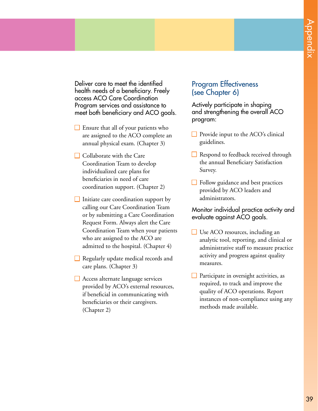Deliver care to meet the identified health needs of a beneficiary. Freely access ACO Care Coordination Program services and assistance to meet both beneficiary and ACO goals.

- $\Box$  Ensure that all of your patients who are assigned to the ACO complete an annual physical exam. (Chapter 3)
- $\Box$  Collaborate with the Care Coordination Team to develop individualized care plans for beneficiaries in need of care coordination support. (Chapter 2)
- $\Box$  Initiate care coordination support by calling our Care Coordination Team or by submitting a Care Coordination Request Form. Always alert the Care Coordination Team when your patients who are assigned to the ACO are admitted to the hospital. (Chapter 4)
- $\Box$  Regularly update medical records and care plans. (Chapter 3)
- $\Box$  Access alternate language services provided by ACO's external resources, if beneficial in communicating with beneficiaries or their caregivers. (Chapter 2)

## Program Effectiveness (see Chapter 6)

Actively participate in shaping and strengthening the overall ACO program:

- $\Box$  Provide input to the ACO's clinical guidelines.
- $\Box$  Respond to feedback received through the annual Beneficiary Satisfaction Survey.
- $\Box$  Follow guidance and best practices provided by ACO leaders and administrators.

Monitor individual practice activity and evaluate against ACO goals.

- $\Box$  Use ACO resources, including an analytic tool, reporting, and clinical or administrative staff to measure practice activity and progress against quality measures.
- $\Box$  Participate in oversight activities, as required, to track and improve the quality of ACO operations. Report instances of non-compliance using any methods made available.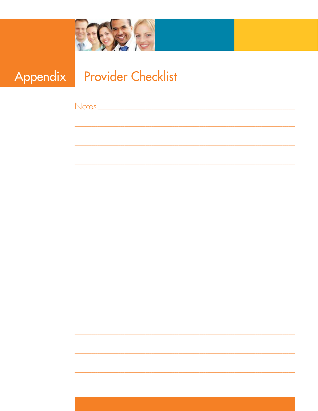

Appendix

# **Provider Checklist**